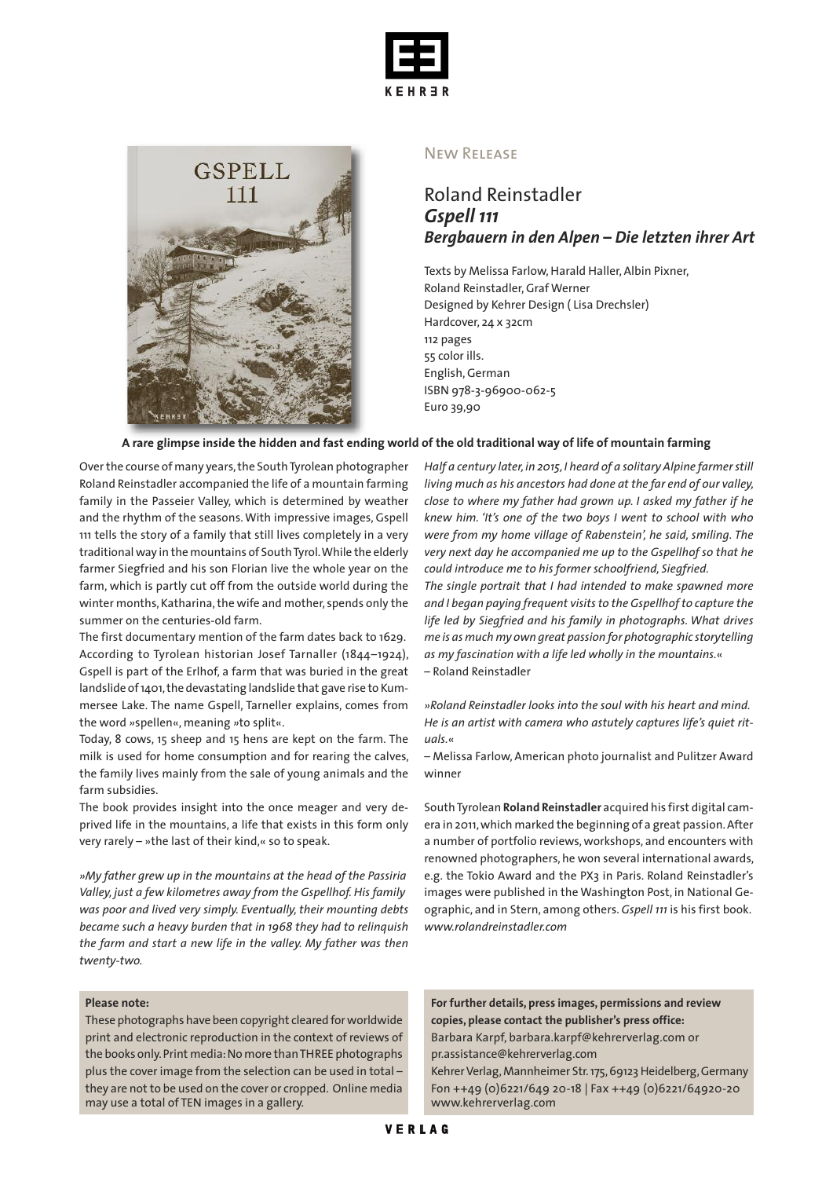



#### New Release

# Roland Reinstadler *Gspell 111 Bergbauern in den Alpen – Die letzten ihrer Art*

Texts by Melissa Farlow, Harald Haller, Albin Pixner, Roland Reinstadler,Graf Werner Designed by Kehrer Design ( Lisa Drechsler) Hardcover, 24 x 32cm 112 pages 55 color ills. English,German ISBN 978-3-96900-062-5 Euro 39,90

#### A rare glimpse inside the hidden and fast ending world of the old traditional way of life of mountain farming

Overthe course of many years,the SouthTyrolean photographer Roland Reinstadler accompanied the life of a mountain farming family in the Passeier Valley, which is determined by weather and the rhythm of the seasons.With impressive images, Gspell 111 tells the story of a family that still lives completely in a very traditional way in the mountains of South Tyrol. While the elderly farmer Siegfried and his son Florian live the whole year on the farm, which is partly cut off from the outside world during the winter months, Katharina, the wife and mother, spends only the summer on the centuries-old farm.

The first documentary mention of the farm dates back to 1629. According to Tyrolean historian Josef Tarnaller (1844–1924), Gspell is part of the Erlhof, a farm that was buried in the great landslide of 1401, the devastating landslide that gave rise to Kummersee Lake. The name Gspell, Tarneller explains, comes from the word *»*spellen«, meaning *»*to split«.

Today, 8 cows, 15 sheep and 15 hens are kept on the farm. The milk is used for home consumption and for rearing the calves, the family lives mainly from the sale of young animals and the farm subsidies.

The book provides insight into the once meager and very deprived life in the mountains, a life that exists in this form only very rarely – »the last of their kind,« so to speak.

*»My father grew up in the mountains at the head of the Passiria Valley, just a few kilometres away from the Gspellhof. His family was poor and lived very simply. Eventually, their mounting debts became such a heavy burden that in 1968 they had to relinquish the farm and start a new life in the valley. My father was then twenty-two.*

#### **Please note:**

These photographs have been copyright cleared forworldwide print and electronic reproduction in the context of reviews of the books only. Print media: No more than THREE photographs plus the cover image from the selection can be used in total – they are not to be used on the cover or cropped. Online media may use a total of TEN images in a gallery.

*Half a century later,in 2015,I heard of a solitary Alpine farmerstill living much as his ancestors had done at the far end of our valley, close to where my father had grown up. I asked my father if he knew him. 'It's one of the two boys I went to school with who were from my home village of Rabenstein', he said, smiling. The very next day he accompanied me up to the Gspellhof so that he could introduce me to his former schoolfriend, Siegfried.*

*The single portrait that I had intended to make spawned more and I began paying frequent visits to the Gspellhof to capture the life led by Siegfried and his family in photographs. What drives me is as much my own great passion for photographic storytelling as my fascination with a life led wholly in the mountains.*« – Roland Reinstadler

*»Roland Reinstadler looks into the soul with his heart and mind. He is an artist with camera who astutely captures life's quiet rituals.*«

– Melissa Farlow, American photo journalist and Pulitzer Award winner

SouthTyrolean **Roland Reinstadler** acquired his first digital camera in 2011,which marked the beginning of a great passion.After a number of portfolio reviews, workshops, and encounters with renowned photographers, he won several international awards, e.g. the Tokio Award and the PX3 in Paris. Roland Reinstadler's images were published in the Washington Post, in National Geographic, and in Stern, among others. *Gspell 111* is his first book. *www.rolandreinstadler.com*

**For further details, press images, permissions and review copies, please contact the publisher's press office:** Barbara Karpf, barbara.karpf@kehrerverlag.com or pr.assistance@kehrerverlag.com

Kehrer Verlag, Mannheimer Str. 175, 69123 Heidelberg, Germany Fon ++49 (0)6221/649 20-18 | Fax ++49 (0)6221/64920-20 www.kehrerverlag.com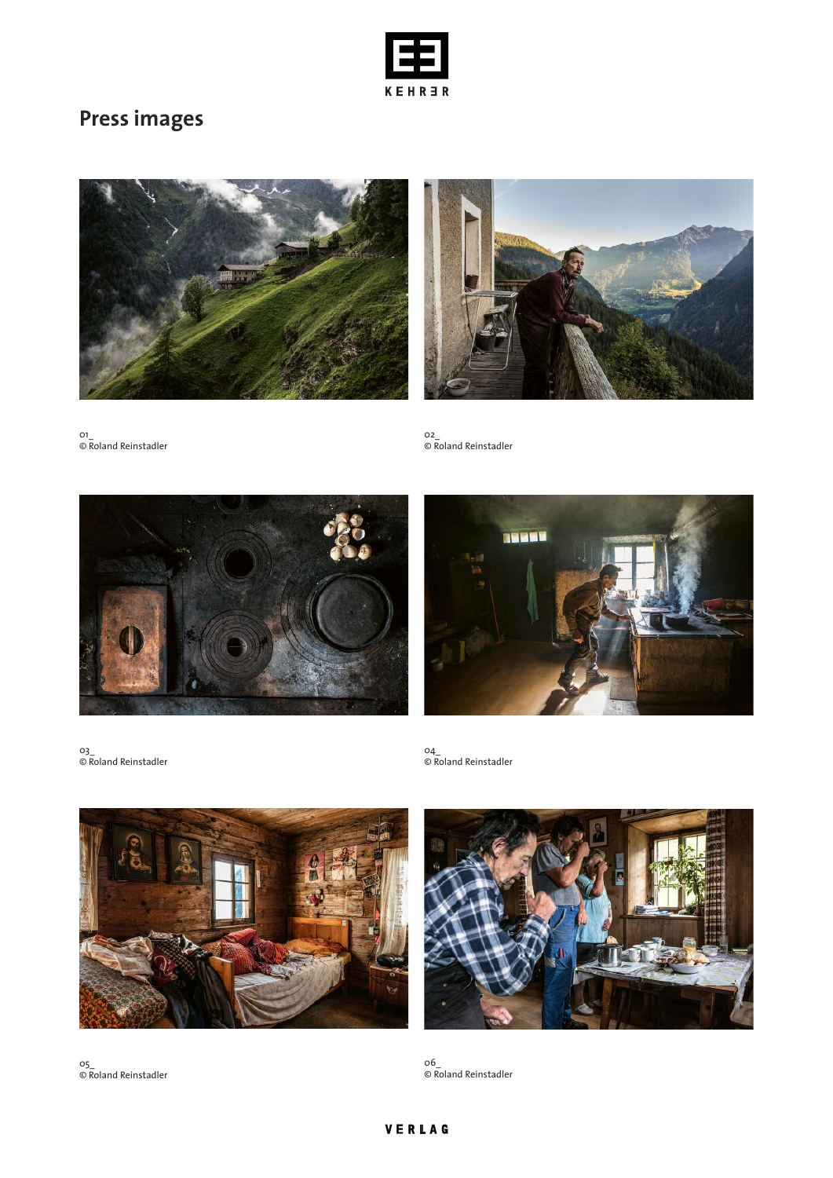

# **Press images**





01\_ © Roland Reinstadler

02\_ © Roland Reinstadler





03\_ © Roland Reinstadler

04\_ © Roland Reinstadler



05\_ © Roland Reinstadler



06\_ © Roland Reinstadler

## VERLAG